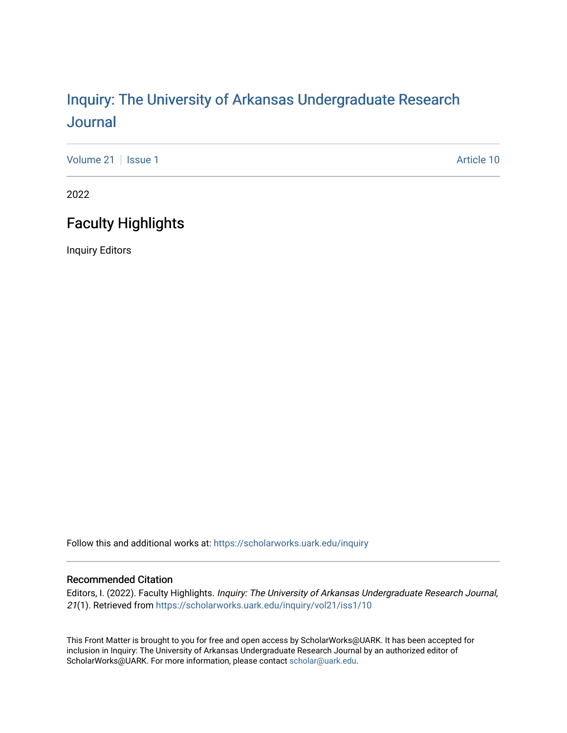# Inquiry: The Univ[ersity of Arkansas Undergraduate Resear](https://scholarworks.uark.edu/inquiry)ch [Journal](https://scholarworks.uark.edu/inquiry)

[Volume 21](https://scholarworks.uark.edu/inquiry/vol21) | [Issue 1](https://scholarworks.uark.edu/inquiry/vol21/iss1) Article 10

2022

## Faculty Highlights

Inquiry Editors

Follow this and additional works at: [https://scholarworks.uark.edu/inquiry](https://scholarworks.uark.edu/inquiry?utm_source=scholarworks.uark.edu%2Finquiry%2Fvol21%2Fiss1%2F10&utm_medium=PDF&utm_campaign=PDFCoverPages)

#### Recommended Citation

Editors, I. (2022). Faculty Highlights. Inquiry: The University of Arkansas Undergraduate Research Journal, 21(1). Retrieved from [https://scholarworks.uark.edu/inquiry/vol21/iss1/10](https://scholarworks.uark.edu/inquiry/vol21/iss1/10?utm_source=scholarworks.uark.edu%2Finquiry%2Fvol21%2Fiss1%2F10&utm_medium=PDF&utm_campaign=PDFCoverPages) 

This Front Matter is brought to you for free and open access by ScholarWorks@UARK. It has been accepted for inclusion in Inquiry: The University of Arkansas Undergraduate Research Journal by an authorized editor of ScholarWorks@UARK. For more information, please contact [scholar@uark.edu](mailto:scholar@uark.edu).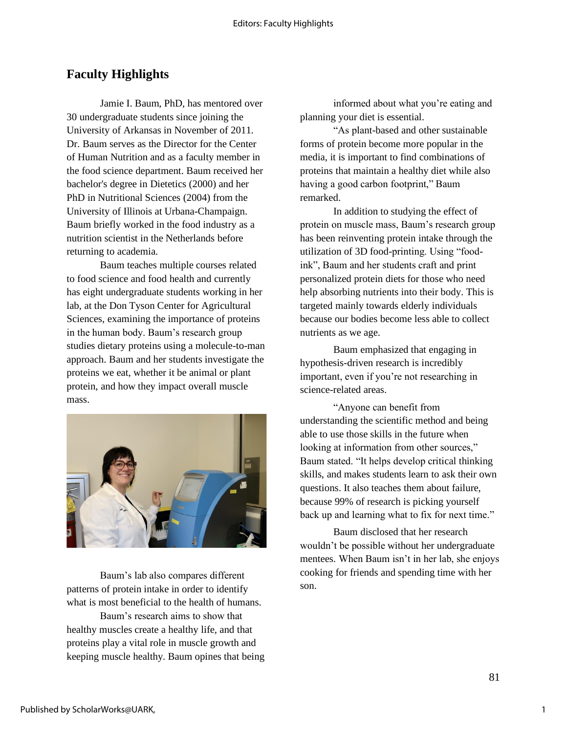### **Faculty Highlights**

Jamie I. Baum, PhD, has mentored over 30 undergraduate students since joining the University of Arkansas in November of 2011. Dr. Baum serves as the Director for the Center of Human Nutrition and as a faculty member in the food science department. Baum received her bachelor's degree in Dietetics (2000) and her PhD in Nutritional Sciences (2004) from the University of Illinois at Urbana-Champaign. Baum briefly worked in the food industry as a nutrition scientist in the Netherlands before returning to academia.

Baum teaches multiple courses related to food science and food health and currently has eight undergraduate students working in her lab, at the Don Tyson Center for Agricultural Sciences, examining the importance of proteins in the human body. Baum's research group studies dietary proteins using a molecule-to-man approach. Baum and her students investigate the proteins we eat, whether it be animal or plant protein, and how they impact overall muscle mass.



Baum's lab also compares different patterns of protein intake in order to identify what is most beneficial to the health of humans.

Baum's research aims to show that healthy muscles create a healthy life, and that proteins play a vital role in muscle growth and keeping muscle healthy. Baum opines that being

informed about what you're eating and planning your diet is essential.

"As plant-based and other sustainable forms of protein become more popular in the media, it is important to find combinations of proteins that maintain a healthy diet while also having a good carbon footprint," Baum remarked.

In addition to studying the effect of protein on muscle mass, Baum's research group has been reinventing protein intake through the utilization of 3D food-printing. Using "foodink", Baum and her students craft and print personalized protein diets for those who need help absorbing nutrients into their body. This is targeted mainly towards elderly individuals because our bodies become less able to collect nutrients as we age.

Baum emphasized that engaging in hypothesis-driven research is incredibly important, even if you're not researching in science-related areas.

"Anyone can benefit from understanding the scientific method and being able to use those skills in the future when looking at information from other sources," Baum stated. "It helps develop critical thinking skills, and makes students learn to ask their own questions. It also teaches them about failure, because 99% of research is picking yourself back up and learning what to fix for next time."

Baum disclosed that her research wouldn't be possible without her undergraduate mentees. When Baum isn't in her lab, she enjoys cooking for friends and spending time with her son.

1

81